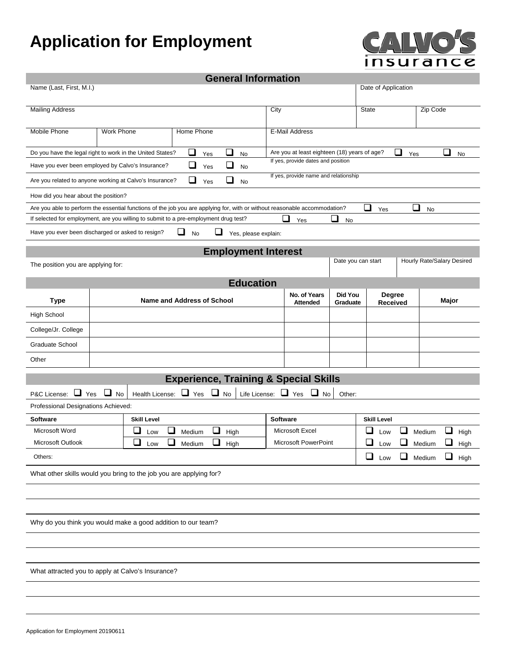## **Application for Employment**



**General Information** 

|                                                                                                                                |                                             |                    |                                       |     | General Information                              |                                            |                                              |                     |                    |                    |                                |       |      |
|--------------------------------------------------------------------------------------------------------------------------------|---------------------------------------------|--------------------|---------------------------------------|-----|--------------------------------------------------|--------------------------------------------|----------------------------------------------|---------------------|--------------------|--------------------|--------------------------------|-------|------|
| Name (Last, First, M.I.)<br>Date of Application                                                                                |                                             |                    |                                       |     |                                                  |                                            |                                              |                     |                    |                    |                                |       |      |
| <b>Mailing Address</b>                                                                                                         |                                             |                    |                                       |     |                                                  | City                                       |                                              |                     | <b>State</b>       |                    | Zip Code                       |       |      |
| <b>Mobile Phone</b><br><b>Work Phone</b><br>Home Phone<br><b>E-Mail Address</b>                                                |                                             |                    |                                       |     |                                                  |                                            |                                              |                     |                    |                    |                                |       |      |
| Do you have the legal right to work in the United States?                                                                      |                                             |                    | ❏                                     | Yes | $\Box$<br>No                                     |                                            | Are you at least eighteen (18) years of age? |                     |                    | ❏                  | Yes                            | ❏     | No   |
| Have you ever been employed by Calvo's Insurance?                                                                              |                                             |                    | ❏                                     | Yes | ⊔<br><b>No</b>                                   |                                            | If yes, provide dates and position           |                     |                    |                    |                                |       |      |
| If yes, provide name and relationship<br>❏<br>ப<br>Are you related to anyone working at Calvo's Insurance?<br>Yes<br><b>No</b> |                                             |                    |                                       |     |                                                  |                                            |                                              |                     |                    |                    |                                |       |      |
| How did you hear about the position?                                                                                           |                                             |                    |                                       |     |                                                  |                                            |                                              |                     |                    |                    |                                |       |      |
| Are you able to perform the essential functions of the job you are applying for, with or without reasonable accommodation?     |                                             |                    |                                       |     |                                                  |                                            |                                              |                     | $\sqcup$           | Yes                | $\overline{\phantom{a}}$<br>No |       |      |
| If selected for employment, are you willing to submit to a pre-employment drug test?                                           |                                             |                    |                                       |     |                                                  |                                            | ⊔<br>Yes                                     | ⊔<br>No             |                    |                    |                                |       |      |
| Have you ever been discharged or asked to resign?                                                                              |                                             |                    | ப<br>No                               | ⊔   | Yes, please explain:                             |                                            |                                              |                     |                    |                    |                                |       |      |
|                                                                                                                                |                                             |                    |                                       |     | <b>Employment Interest</b>                       |                                            |                                              |                     |                    |                    |                                |       |      |
| The position you are applying for:                                                                                             |                                             |                    |                                       |     |                                                  |                                            |                                              |                     | Date you can start |                    | Hourly Rate/Salary Desired     |       |      |
|                                                                                                                                |                                             |                    |                                       |     | <b>Education</b>                                 |                                            |                                              |                     |                    |                    |                                |       |      |
| <b>Type</b>                                                                                                                    |                                             |                    | <b>Name and Address of School</b>     |     |                                                  |                                            | No. of Years<br><b>Attended</b>              | Did You<br>Graduate |                    | Degree<br>Received |                                | Major |      |
| <b>High School</b>                                                                                                             |                                             |                    |                                       |     |                                                  |                                            |                                              |                     |                    |                    |                                |       |      |
| College/Jr. College                                                                                                            |                                             |                    |                                       |     |                                                  |                                            |                                              |                     |                    |                    |                                |       |      |
| Graduate School                                                                                                                |                                             |                    |                                       |     |                                                  |                                            |                                              |                     |                    |                    |                                |       |      |
| Other                                                                                                                          |                                             |                    |                                       |     |                                                  |                                            |                                              |                     |                    |                    |                                |       |      |
|                                                                                                                                |                                             |                    |                                       |     | <b>Experience, Training &amp; Special Skills</b> |                                            |                                              |                     |                    |                    |                                |       |      |
| $\Box$ Yes<br>P&C License:                                                                                                     | $\Box$ No                                   | Health License:    | $\Box$ Yes                            |     | $\Box$ No<br>Life License:                       |                                            | $\Box$ Yes<br>$\Box$ No                      | Other:              |                    |                    |                                |       |      |
| Professional Designations Achieved:                                                                                            |                                             |                    |                                       |     |                                                  |                                            |                                              |                     |                    |                    |                                |       |      |
| <b>Software</b>                                                                                                                |                                             | <b>Skill Level</b> |                                       |     |                                                  | <b>Software</b>                            |                                              |                     | <b>Skill Level</b> |                    |                                |       |      |
| Microsoft Word                                                                                                                 |                                             | ⊔<br>Low           | $\mathcal{L}_{\mathcal{A}}$<br>Medium | ⊔   | High                                             |                                            | Microsoft Excel                              |                     | ⊔                  | $\Box$<br>Low      | Medium                         | ⊔     | High |
| Microsoft Outlook                                                                                                              |                                             | ⊔<br>Low           | $\mathcal{L}$<br>Medium               | ⊔   | High                                             | Microsoft PowerPoint<br>⊔<br>Medium<br>Low |                                              |                     |                    | High               |                                |       |      |
| Others:                                                                                                                        | $\Box$<br>O<br>$\Box$ Medium<br>High<br>Low |                    |                                       |     |                                                  |                                            |                                              |                     |                    |                    |                                |       |      |
| What other skills would you bring to the job you are applying for?                                                             |                                             |                    |                                       |     |                                                  |                                            |                                              |                     |                    |                    |                                |       |      |
|                                                                                                                                |                                             |                    |                                       |     |                                                  |                                            |                                              |                     |                    |                    |                                |       |      |
|                                                                                                                                |                                             |                    |                                       |     |                                                  |                                            |                                              |                     |                    |                    |                                |       |      |
| Why do you think you would make a good addition to our team?                                                                   |                                             |                    |                                       |     |                                                  |                                            |                                              |                     |                    |                    |                                |       |      |
|                                                                                                                                |                                             |                    |                                       |     |                                                  |                                            |                                              |                     |                    |                    |                                |       |      |
|                                                                                                                                |                                             |                    |                                       |     |                                                  |                                            |                                              |                     |                    |                    |                                |       |      |
| What attracted you to apply at Calvo's Insurance?                                                                              |                                             |                    |                                       |     |                                                  |                                            |                                              |                     |                    |                    |                                |       |      |
|                                                                                                                                |                                             |                    |                                       |     |                                                  |                                            |                                              |                     |                    |                    |                                |       |      |
|                                                                                                                                |                                             |                    |                                       |     |                                                  |                                            |                                              |                     |                    |                    |                                |       |      |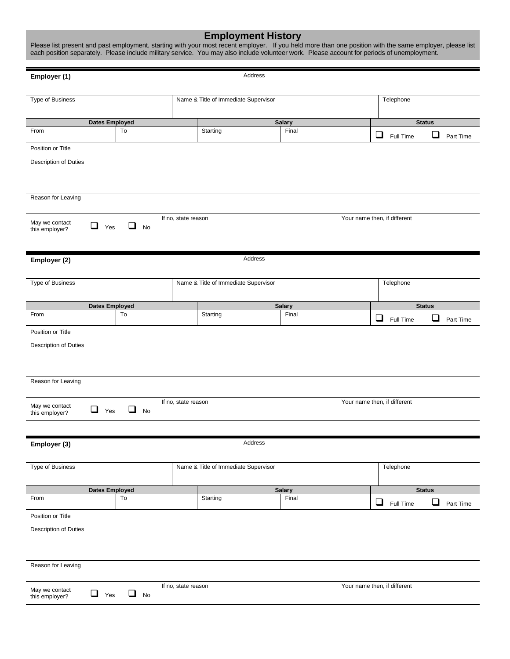| <b>Employment History</b><br>Please list present and past employment, starting with your most recent employer. If you held more than one position with the same employer, please list<br>each position separately. Please include military service. You may also include volunteer work. Please account for periods of unemployment. |                                     |                                      |         |                        |  |                              |                    |           |  |
|--------------------------------------------------------------------------------------------------------------------------------------------------------------------------------------------------------------------------------------------------------------------------------------------------------------------------------------|-------------------------------------|--------------------------------------|---------|------------------------|--|------------------------------|--------------------|-----------|--|
| Employer (1)                                                                                                                                                                                                                                                                                                                         |                                     |                                      | Address |                        |  |                              |                    |           |  |
|                                                                                                                                                                                                                                                                                                                                      |                                     |                                      |         |                        |  |                              |                    |           |  |
| Type of Business                                                                                                                                                                                                                                                                                                                     |                                     | Name & Title of Immediate Supervisor |         |                        |  | Telephone                    |                    |           |  |
|                                                                                                                                                                                                                                                                                                                                      |                                     |                                      |         |                        |  |                              |                    |           |  |
| <b>Dates Employed</b><br>To<br>From                                                                                                                                                                                                                                                                                                  |                                     | Starting                             |         | <b>Salary</b><br>Final |  | ❏<br>Full Time               | <b>Status</b><br>□ | Part Time |  |
| Position or Title                                                                                                                                                                                                                                                                                                                    |                                     |                                      |         |                        |  |                              |                    |           |  |
| <b>Description of Duties</b>                                                                                                                                                                                                                                                                                                         |                                     |                                      |         |                        |  |                              |                    |           |  |
|                                                                                                                                                                                                                                                                                                                                      |                                     |                                      |         |                        |  |                              |                    |           |  |
| Reason for Leaving                                                                                                                                                                                                                                                                                                                   |                                     |                                      |         |                        |  |                              |                    |           |  |
| May we contact<br>$\Box$ Yes<br>this employer?                                                                                                                                                                                                                                                                                       | If no, state reason<br>$\Box$<br>No |                                      |         |                        |  | Your name then, if different |                    |           |  |
|                                                                                                                                                                                                                                                                                                                                      |                                     |                                      |         |                        |  |                              |                    |           |  |
| Employer (2)                                                                                                                                                                                                                                                                                                                         |                                     |                                      | Address |                        |  |                              |                    |           |  |
|                                                                                                                                                                                                                                                                                                                                      |                                     |                                      |         |                        |  |                              |                    |           |  |
| Type of Business                                                                                                                                                                                                                                                                                                                     |                                     | Name & Title of Immediate Supervisor |         |                        |  | Telephone                    |                    |           |  |
| <b>Dates Employed</b>                                                                                                                                                                                                                                                                                                                |                                     |                                      |         | <b>Salary</b>          |  |                              | <b>Status</b>      |           |  |
| From<br>To                                                                                                                                                                                                                                                                                                                           |                                     | Starting                             |         | Final                  |  | ❏<br>Full Time               | $\sqcup$           | Part Time |  |
| Position or Title                                                                                                                                                                                                                                                                                                                    |                                     |                                      |         |                        |  |                              |                    |           |  |
| <b>Description of Duties</b>                                                                                                                                                                                                                                                                                                         |                                     |                                      |         |                        |  |                              |                    |           |  |
|                                                                                                                                                                                                                                                                                                                                      |                                     |                                      |         |                        |  |                              |                    |           |  |
| Reason for Leaving                                                                                                                                                                                                                                                                                                                   |                                     |                                      |         |                        |  |                              |                    |           |  |
| May we contact                                                                                                                                                                                                                                                                                                                       | If no, state reason                 |                                      |         |                        |  | Your name then, if different |                    |           |  |
| $\Box$ Yes<br>this employer?                                                                                                                                                                                                                                                                                                         | ❏<br>No                             |                                      |         |                        |  |                              |                    |           |  |
|                                                                                                                                                                                                                                                                                                                                      |                                     |                                      |         |                        |  |                              |                    |           |  |
| Employer (3)                                                                                                                                                                                                                                                                                                                         |                                     |                                      | Address |                        |  |                              |                    |           |  |
| Type of Business                                                                                                                                                                                                                                                                                                                     |                                     | Name & Title of Immediate Supervisor |         |                        |  | Telephone                    |                    |           |  |
|                                                                                                                                                                                                                                                                                                                                      |                                     |                                      |         |                        |  |                              |                    |           |  |
| <b>Dates Employed</b><br>To<br>From                                                                                                                                                                                                                                                                                                  |                                     | Starting                             |         | <b>Salary</b><br>Final |  | ❏<br>Full Time               | <b>Status</b><br>❏ | Part Time |  |
| Position or Title                                                                                                                                                                                                                                                                                                                    |                                     |                                      |         |                        |  |                              |                    |           |  |
| Description of Duties                                                                                                                                                                                                                                                                                                                |                                     |                                      |         |                        |  |                              |                    |           |  |
|                                                                                                                                                                                                                                                                                                                                      |                                     |                                      |         |                        |  |                              |                    |           |  |
| Reason for Leaving                                                                                                                                                                                                                                                                                                                   |                                     |                                      |         |                        |  |                              |                    |           |  |
| May we contact<br>$\Box$ Yes                                                                                                                                                                                                                                                                                                         | If no, state reason<br>❏<br>No      |                                      |         |                        |  | Your name then, if different |                    |           |  |
| this employer?                                                                                                                                                                                                                                                                                                                       |                                     |                                      |         |                        |  |                              |                    |           |  |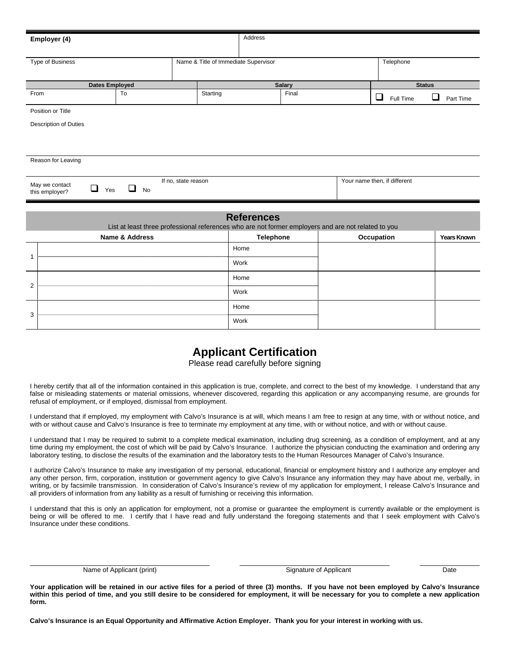|                                                                       | Employer (4)          |                |                                                                                                     | Address           |  |       |               |                    |  |
|-----------------------------------------------------------------------|-----------------------|----------------|-----------------------------------------------------------------------------------------------------|-------------------|--|-------|---------------|--------------------|--|
| Name & Title of Immediate Supervisor<br>Type of Business              |                       |                |                                                                                                     |                   |  |       | Telephone     |                    |  |
|                                                                       |                       |                |                                                                                                     |                   |  |       |               |                    |  |
|                                                                       | <b>Dates Employed</b> |                |                                                                                                     | <b>Salary</b>     |  |       | <b>Status</b> |                    |  |
| From                                                                  | To                    |                | Starting                                                                                            |                   |  | Final |               | Ш<br>Part Time     |  |
|                                                                       | Position or Title     |                |                                                                                                     |                   |  |       |               |                    |  |
|                                                                       | Description of Duties |                |                                                                                                     |                   |  |       |               |                    |  |
|                                                                       |                       |                |                                                                                                     |                   |  |       |               |                    |  |
|                                                                       |                       |                |                                                                                                     |                   |  |       |               |                    |  |
|                                                                       | Reason for Leaving    |                |                                                                                                     |                   |  |       |               |                    |  |
| Your name then, if different<br>If no, state reason<br>May we contact |                       |                |                                                                                                     |                   |  |       |               |                    |  |
| $\Box$<br>□<br>Yes<br><b>No</b><br>this employer?                     |                       |                |                                                                                                     |                   |  |       |               |                    |  |
|                                                                       |                       |                |                                                                                                     |                   |  |       |               |                    |  |
|                                                                       |                       |                | List at least three professional references who are not former employers and are not related to you | <b>References</b> |  |       |               |                    |  |
|                                                                       |                       | Name & Address |                                                                                                     | <b>Telephone</b>  |  |       | Occupation    | <b>Years Known</b> |  |
|                                                                       |                       |                |                                                                                                     | Home              |  |       |               |                    |  |
| 1                                                                     |                       |                |                                                                                                     | Work              |  |       |               |                    |  |
|                                                                       |                       |                |                                                                                                     | Home              |  |       |               |                    |  |
| $\overline{2}$                                                        |                       |                |                                                                                                     | Work              |  |       |               |                    |  |
|                                                                       |                       |                |                                                                                                     | Home              |  |       |               |                    |  |
| 3                                                                     |                       |                |                                                                                                     | Work              |  |       |               |                    |  |

## **Applicant Certification**

Please read carefully before signing

I hereby certify that all of the information contained in this application is true, complete, and correct to the best of my knowledge. I understand that any false or misleading statements or material omissions, whenever discovered, regarding this application or any accompanying resume, are grounds for refusal of employment, or if employed, dismissal from employment.

I understand that if employed, my employment with Calvo's Insurance is at will, which means I am free to resign at any time, with or without notice, and with or without cause and Calvo's Insurance is free to terminate my employment at any time, with or without notice, and with or without cause.

I understand that I may be required to submit to a complete medical examination, including drug screening, as a condition of employment, and at any time during my employment, the cost of which will be paid by Calvo's Insurance. I authorize the physician conducting the examination and ordering any laboratory testing, to disclose the results of the examination and the laboratory tests to the Human Resources Manager of Calvo's Insurance.

I authorize Calvo's Insurance to make any investigation of my personal, educational, financial or employment history and I authorize any employer and any other person, firm, corporation, institution or government agency to give Calvo's Insurance any information they may have about me, verbally, in writing, or by facsimile transmission. In consideration of Calvo's Insurance's review of my application for employment, I release Calvo's Insurance and all providers of information from any liability as a result of furnishing or receiving this information.

I understand that this is only an application for employment, not a promise or guarantee the employment is currently available or the employment is being or will be offered to me. I certify that I have read and fully understand the foregoing statements and that I seek employment with Calvo's Insurance under these conditions.

Name of Applicant (print) Date Control Control of Applicant Control Control Date Date Date Date Date Date Date

 $\overline{a}$ 

**Your application will be retained in our active files for a period of three (3) months. If you have not been employed by Calvo's Insurance within this period of time, and you still desire to be considered for employment, it will be necessary for you to complete a new application form.** 

**Calvo's Insurance is an Equal Opportunity and Affirmative Action Employer. Thank you for your interest in working with us.**